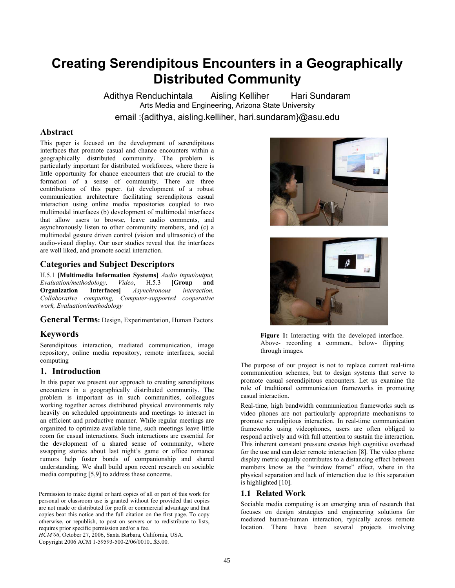# **Creating Serendipitous Encounters in a Geographically Distributed Community**

Adithya Renduchintala Aisling Kelliher Hari Sundaram Arts Media and Engineering, Arizona State University email :{adithya, aisling.kelliher, hari.sundaram}@asu.edu

## **Abstract**

This paper is focused on the development of serendipitous interfaces that promote casual and chance encounters within a geographically distributed community. The problem is particularly important for distributed workforces, where there is little opportunity for chance encounters that are crucial to the formation of a sense of community. There are three contributions of this paper. (a) development of a robust communication architecture facilitating serendipitous casual interaction using online media repositories coupled to two multimodal interfaces (b) development of multimodal interfaces that allow users to browse, leave audio comments, and asynchronously listen to other community members, and (c) a multimodal gesture driven control (vision and ultrasonic) of the audio-visual display. Our user studies reveal that the interfaces are well liked, and promote social interaction.

## **Categories and Subject Descriptors**

H.5.1 **[Multimedia Information Systems]** *Audio input/output, Evaluation/methodology, Video*, H.5.3 **[Group and Organization Interfaces]** *Asynchronous interaction, Collaborative computing, Computer-supported cooperative work, Evaluation/methodology*

**General Terms:** Design, Experimentation, Human Factors

## **Keywords**

Serendipitous interaction, mediated communication, image repository, online media repository, remote interfaces, social computing

### **1. Introduction**

In this paper we present our approach to creating serendipitous encounters in a geographically distributed community. The problem is important as in such communities, colleagues working together across distributed physical environments rely heavily on scheduled appointments and meetings to interact in an efficient and productive manner. While regular meetings are organized to optimize available time, such meetings leave little room for casual interactions. Such interactions are essential for the development of a shared sense of community, where swapping stories about last night's game or office romance rumors help foster bonds of companionship and shared understanding. We shall build upon recent research on sociable media computing [5,9] to address these concerns.

Permission to make digital or hard copies of all or part of this work for personal or classroom use is granted without fee provided that copies are not made or distributed for profit or commercial advantage and that copies bear this notice and the full citation on the first page. To copy otherwise, or republish, to post on servers or to redistribute to lists, requires prior specific permission and/or a fee.

*HCM'06*, October 27, 2006, Santa Barbara, California, USA.

Copyright 2006 ACM 1-59593-500-2/06/0010...\$5.00.





Figure 1: Interacting with the developed interface. Above- recording a comment, below- flipping through images.

The purpose of our project is not to replace current real-time communication schemes, but to design systems that serve to promote casual serendipitous encounters. Let us examine the role of traditional communication frameworks in promoting casual interaction.

Real-time, high bandwidth communication frameworks such as video phones are not particularly appropriate mechanisms to promote serendipitous interaction. In real-time communication frameworks using videophones, users are often obliged to respond actively and with full attention to sustain the interaction. This inherent constant pressure creates high cognitive overhead for the use and can deter remote interaction [8]. The video phone display metric equally contributes to a distancing effect between members know as the "window frame" effect, where in the physical separation and lack of interaction due to this separation is highlighted [10].

### **1.1 Related Work**

Sociable media computing is an emerging area of research that focuses on design strategies and engineering solutions for mediated human-human interaction, typically across remote location. There have been several projects involving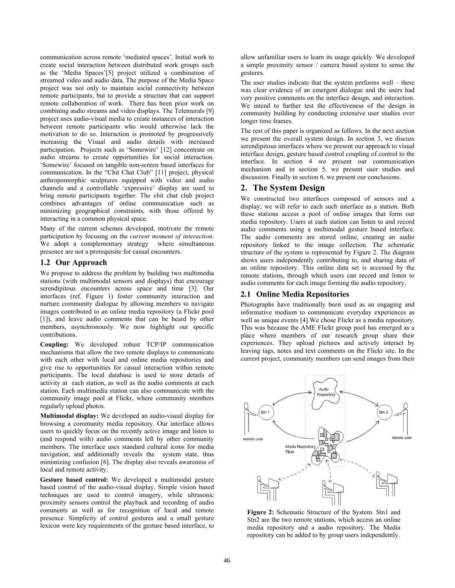communication across remote 'mediated spaces'. Initial work to create social interaction between distributed work groups such as the 'Media Spaces'[5] project utilized a combination of streamed video and audio data. The purpose of the Media Space project was not only to maintain social connectivity between remote participants, but to provide a structure that can support remote collaboration of work. There has been prior work on combining audio streams and video displays. The Telemurals [9] project uses audio-visual media to create instances of interaction between remote participants who would otherwise lack the motivation to do so. Interaction is promoted by progressively increasing the Visual and audio details with increased participation. Projects such as 'Somewire' [12] concentrate on audio streams to create opportunities for social interaction. 'Somewire' focused on tangible non-screen based interfaces for communication. In the "Chit Chat Club" [11] project, physical anthropomorphic sculptures equipped with video and audio channels and a controllable 'expressive' display are used to bring remote participants together. The chit chat club project combines advantages of online communication such as minimizing geographical constraints, with those offered by interacting in a common physical space.

Many of the current schemes developed, motivate the remote participation by focusing on the *current moment of interaction*. We adopt a complementary strategy where simultaneous presence are not a prerequisite for casual encounters.

#### **1.2 Our Approach**

We propose to address the problem by building two multimedia stations (with multimodal sensors and displays) that encourage serendipitous encounters across space and time [3]. Our interfaces (ref. Figure 1) foster community interaction and nurture community dialogue by allowing members to navigate images contributed to an online media repository (a Flickr pool [1]), and leave audio comments that can be heard by other members, asynchronously. We now highlight our specific contributions.

**Coupling:** We developed robust TCP/IP communication mechanisms that allow the two remote displays to communicate with each other with local and online media repositories and give rise to opportunities for casual interaction within remote participants. The local database is used to store details of activity at each station, as well as the audio comments at each station. Each multimedia station can also communicate with the community image pool at Flickr, where community members regularly upload photos.

**Multimodal display:** We developed an audio-visual display for browsing a community media repository. Our interface allows users to quickly focus on the recently active image and listen to (and respond with) audio comments left by other community members. The interface uses standard cultural icons for media navigation, and additionally reveals the system state, thus minimizing confusion [6]. The display also reveals awareness of local and remote activity.

**Gesture based control:** We developed a multimodal gesture based control of the audio-visual display. Simple vision based techniques are used to control imagery, while ultrasonic proximity sensors control the playback and recording of audio comments as well as for recognition of local and remote presence. Simplicity of control gestures and a small gesture lexicon were key requirements of the gesture based interface, to allow unfamiliar users to learn its usage quickly. We developed a simple proximity sensor / camera based system to sense the gestures.

The user studies indicate that the system performs well – there was clear evidence of an emergent dialogue and the users had very positive comments on the interface design, and interaction. We intend to further test the effectiveness of the design in community building by conducting extensive user studies over longer time frames.

The rest of this paper is organized as follows. In the next section we present the overall system design. In section 3, we discuss serendipitous interfaces where we present our approach to visual interface design, gesture based control coupling of control to the interface. In section 4 we present our communication mechanism and in section 5, we present user studies and discussion. Finally in section 6, we present our conclusions.

## **2. The System Design**

We constructed two interfaces composed of sensors and a display; we will refer to each such interface as a station. Both these stations access a pool of online images that form our media repository. Users at each station can listen to and record audio comments using a multimodal gesture based interface. The audio comments are stored online, creating an audio repository linked to the image collection. The schematic structure of the system is represented by Figure 2. The diagram shows users independently contributing to, and sharing data of an online repository. This online data set is accessed by the remote stations, through which users can record and listen to audio comments for each image forming the audio repository.

## **2.1 Online Media Repositories**

Photographs have traditionally been used as an engaging and informative medium to communicate everyday experiences as well as unique events [4].We chose Flickr as a media repository. This was because the AME Flickr group pool has emerged as a place where members of our research group share their experiences. They upload pictures and actively interact by leaving tags, notes and text comments on the Flickr site. In the current project, community members can send images from their



**Figure 2:** Schematic Structure of the System. Stn1 and Stn2 are the two remote stations, which access an online media repository and a audio repository. The Media repository can be added to by group users independently.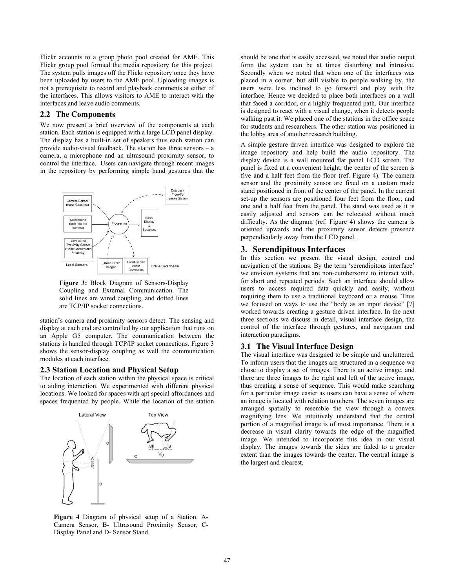Flickr accounts to a group photo pool created for AME. This Flickr group pool formed the media repository for this project. The system pulls images off the Flickr repository once they have been uploaded by users to the AME pool. Uploading images is not a prerequisite to record and playback comments at either of the interfaces. This allows visitors to AME to interact with the interfaces and leave audio comments.

#### **2.2 The Components**

We now present a brief overview of the components at each station. Each station is equipped with a large LCD panel display. The display has a built-in set of speakers thus each station can provide audio-visual feedback. The station has three sensors – a camera, a microphone and an ultrasound proximity sensor, to control the interface. Users can navigate through recent images in the repository by performing simple hand gestures that the



**Figure 3:** Block Diagram of Sensors-Display Coupling and External Communication. The solid lines are wired coupling, and dotted lines are TCP/IP socket connections.

station's camera and proximity sensors detect. The sensing and display at each end are controlled by our application that runs on an Apple G5 computer. The communication between the stations is handled through TCP/IP socket connections. Figure 3 shows the sensor-display coupling as well the communication modules at each interface.

#### **2.3 Station Location and Physical Setup**

The location of each station within the physical space is critical to aiding interaction. We experimented with different physical locations. We looked for spaces with apt special affordances and spaces frequented by people. While the location of the station



**Figure 4** Diagram of physical setup of a Station. A-Camera Sensor, B- Ultrasound Proximity Sensor, C-Display Panel and D- Sensor Stand.

should be one that is easily accessed, we noted that audio output form the system can be at times disturbing and intrusive. Secondly when we noted that when one of the interfaces was placed in a corner, but still visible to people walking by, the users were less inclined to go forward and play with the interface. Hence we decided to place both interfaces on a wall that faced a corridor, or a highly frequented path. Our interface is designed to react with a visual change, when it detects people walking past it. We placed one of the stations in the office space for students and researchers. The other station was positioned in the lobby area of another research building.

A simple gesture driven interface was designed to explore the image repository and help build the audio repository. The display device is a wall mounted flat panel LCD screen. The panel is fixed at a convenient height; the center of the screen is five and a half feet from the floor (ref. Figure 4). The camera sensor and the proximity sensor are fixed on a custom made stand positioned in front of the center of the panel. In the current set-up the sensors are positioned four feet from the floor, and one and a half feet from the panel. The stand was used as it is easily adjusted and sensors can be relocated without much difficulty. As the diagram (ref. Figure 4) shows the camera is oriented upwards and the proximity sensor detects presence perpendicularly away from the LCD panel.

#### **3. Serendipitous Interfaces**

In this section we present the visual design, control and navigation of the stations. By the term 'serendipitous interface' we envision systems that are non-cumbersome to interact with, for short and repeated periods. Such an interface should allow users to access required data quickly and easily, without requiring them to use a traditional keyboard or a mouse. Thus we focused on ways to use the "body as an input device" [7] worked towards creating a gesture driven interface. In the next three sections we discuss in detail, visual interface design, the control of the interface through gestures, and navigation and interaction paradigms.

#### **3.1 The Visual Interface Design**

The visual interface was designed to be simple and uncluttered. To inform users that the images are structured in a sequence we chose to display a set of images. There is an active image, and there are three images to the right and left of the active image, thus creating a sense of sequence. This would make searching for a particular image easier as users can have a sense of where an image is located with relation to others. The seven images are arranged spatially to resemble the view through a convex magnifying lens. We intuitively understand that the central portion of a magnified image is of most importance. There is a decrease in visual clarity towards the edge of the magnified image. We intended to incorporate this idea in our visual display. The images towards the sides are faded to a greater extent than the images towards the center. The central image is the largest and clearest.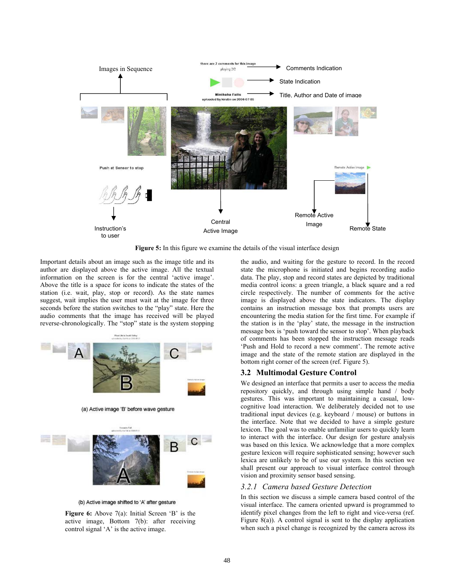

**Figure 5:** In this figure we examine the details of the visual interface design

Important details about an image such as the image title and its author are displayed above the active image. All the textual information on the screen is for the central 'active image'. Above the title is a space for icons to indicate the states of the station (i.e. wait, play, stop or record). As the state names suggest, wait implies the user must wait at the image for three seconds before the station switches to the "play" state. Here the audio comments that the image has received will be played reverse-chronologically. The "stop" state is the system stopping





(b) Active image shifted to 'A' after gesture

Figure 6: Above 7(a): Initial Screen 'B' is the active image, Bottom 7(b): after receiving control signal 'A' is the active image.

the audio, and waiting for the gesture to record. In the record state the microphone is initiated and begins recording audio data. The play, stop and record states are depicted by traditional media control icons: a green triangle, a black square and a red circle respectively. The number of comments for the active image is displayed above the state indicators. The display contains an instruction message box that prompts users are encountering the media station for the first time. For example if the station is in the 'play' state, the message in the instruction message box is 'push toward the sensor to stop'. When playback of comments has been stopped the instruction message reads 'Push and Hold to record a new comment'. The remote active image and the state of the remote station are displayed in the bottom right corner of the screen (ref. Figure 5).

#### **3.2 Multimodal Gesture Control**

We designed an interface that permits a user to access the media repository quickly, and through using simple hand / body gestures. This was important to maintaining a casual, lowcognitive load interaction. We deliberately decided not to use traditional input devices (e.g. keyboard / mouse) or buttons in the interface. Note that we decided to have a simple gesture lexicon. The goal was to enable unfamiliar users to quickly learn to interact with the interface. Our design for gesture analysis was based on this lexica. We acknowledge that a more complex gesture lexicon will require sophisticated sensing; however such lexica are unlikely to be of use our system. In this section we shall present our approach to visual interface control through vision and proximity sensor based sensing.

#### *3.2.1 Camera based Gesture Detection*

In this section we discuss a simple camera based control of the visual interface. The camera oriented upward is programmed to identify pixel changes from the left to right and vice-versa (ref. Figure 8(a)). A control signal is sent to the display application when such a pixel change is recognized by the camera across its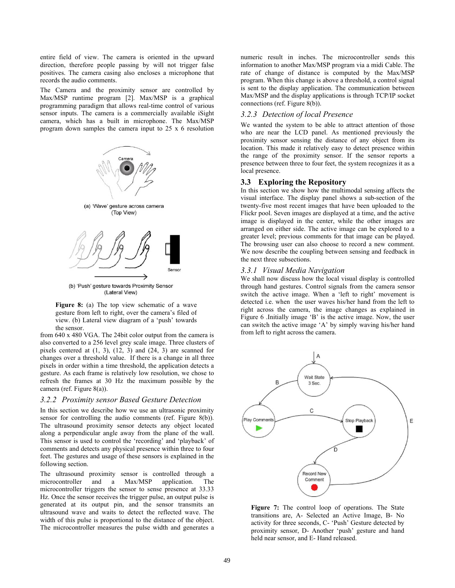entire field of view. The camera is oriented in the upward direction, therefore people passing by will not trigger false positives. The camera casing also encloses a microphone that records the audio comments.

The Camera and the proximity sensor are controlled by Max/MSP runtime program [2]. Max/MSP is a graphical programming paradigm that allows real-time control of various sensor inputs. The camera is a commercially available iSight camera, which has a built in microphone. The Max/MSP program down samples the camera input to 25 x 6 resolution



(b) 'Push' gesture towards Proximity Sensor (Lateral View)

Figure 8: (a) The top view schematic of a wave gesture from left to right, over the camera's filed of view. (b) Lateral view diagram of a 'push' towards the sensor.

from 640 x 480 VGA. The 24bit color output from the camera is also converted to a 256 level grey scale image. Three clusters of pixels centered at  $(1, 3)$ ,  $(12, 3)$  and  $(24, 3)$  are scanned for changes over a threshold value. If there is a change in all three pixels in order within a time threshold, the application detects a gesture. As each frame is relatively low resolution, we chose to refresh the frames at 30 Hz the maximum possible by the camera (ref. Figure 8(a)).

#### *3.2.2 Proximity sensor Based Gesture Detection*

In this section we describe how we use an ultrasonic proximity sensor for controlling the audio comments (ref. Figure 8(b)). The ultrasound proximity sensor detects any object located along a perpendicular angle away from the plane of the wall. This sensor is used to control the 'recording' and 'playback' of comments and detects any physical presence within three to four feet. The gestures and usage of these sensors is explained in the following section.

The ultrasound proximity sensor is controlled through a microcontroller and a Max/MSP application. The microcontroller triggers the sensor to sense presence at 33.33 Hz. Once the sensor receives the trigger pulse, an output pulse is generated at its output pin, and the sensor transmits an ultrasound wave and waits to detect the reflected wave. The width of this pulse is proportional to the distance of the object. The microcontroller measures the pulse width and generates a numeric result in inches. The microcontroller sends this information to another Max/MSP program via a midi Cable. The rate of change of distance is computed by the Max/MSP program. When this change is above a threshold, a control signal is sent to the display application. The communication between Max/MSP and the display applications is through TCP/IP socket connections (ref. Figure 8(b)).

### *3.2.3 Detection of local Presence*

We wanted the system to be able to attract attention of those who are near the LCD panel. As mentioned previously the proximity sensor sensing the distance of any object from its location. This made it relatively easy to detect presence within the range of the proximity sensor. If the sensor reports a presence between three to four feet, the system recognizes it as a local presence.

#### **3.3 Exploring the Repository**

In this section we show how the multimodal sensing affects the visual interface. The display panel shows a sub-section of the twenty-five most recent images that have been uploaded to the Flickr pool. Seven images are displayed at a time, and the active image is displayed in the center, while the other images are arranged on either side. The active image can be explored to a greater level; previous comments for that image can be played. The browsing user can also choose to record a new comment. We now describe the coupling between sensing and feedback in the next three subsections.

#### *3.3.1 Visual Media Navigation*

We shall now discuss how the local visual display is controlled through hand gestures. Control signals from the camera sensor switch the active image. When a 'left to right' movement is detected i.e. when the user waves his/her hand from the left to right across the camera, the image changes as explained in Figure 6 .Initially image 'B' is the active image. Now, the user can switch the active image 'A' by simply waving his/her hand from left to right across the camera.



**Figure 7:** The control loop of operations. The State transitions are, A- Selected an Active Image, B- No activity for three seconds, C- 'Push' Gesture detected by proximity sensor, D- Another 'push' gesture and hand held near sensor, and E- Hand released.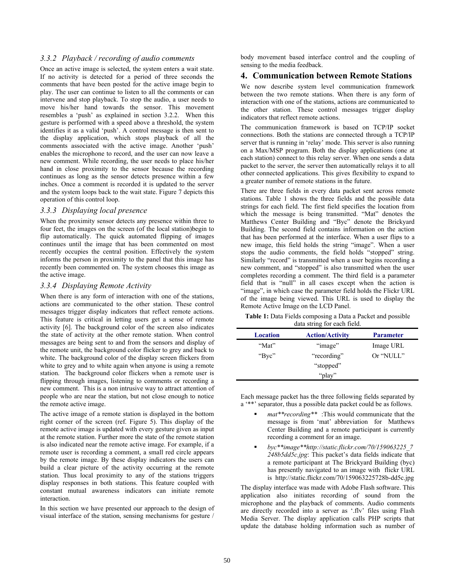#### *3.3.2 Playback / recording of audio comments*

Once an active image is selected, the system enters a wait state. If no activity is detected for a period of three seconds the comments that have been posted for the active image begin to play. The user can continue to listen to all the comments or can intervene and stop playback. To stop the audio, a user needs to move his/her hand towards the sensor. This movement resembles a 'push' as explained in section 3.2.2. When this gesture is performed with a speed above a threshold, the system identifies it as a valid 'push'. A control message is then sent to the display application, which stops playback of all the comments associated with the active image. Another 'push' enables the microphone to record, and the user can now leave a new comment. While recording, the user needs to place his/her hand in close proximity to the sensor because the recording continues as long as the sensor detects presence within a few inches. Once a comment is recorded it is updated to the server and the system loops back to the wait state. Figure 7 depicts this operation of this control loop.

#### *3.3.3 Displaying local presence*

When the proximity sensor detects any presence within three to four feet, the images on the screen (of the local station)begin to flip automatically. The quick automated flipping of images continues until the image that has been commented on most recently occupies the central position. Effectively the system informs the person in proximity to the panel that this image has recently been commented on. The system chooses this image as the active image.

#### *3.3.4 Displaying Remote Activity*

When there is any form of interaction with one of the stations. actions are communicated to the other station. These control messages trigger display indicators that reflect remote actions. This feature is critical in letting users get a sense of remote activity [6]. The background color of the screen also indicates the state of activity at the other remote station. When control messages are being sent to and from the sensors and display of the remote unit, the background color flicker to grey and back to white. The background color of the display screen flickers from white to grey and to white again when anyone is using a remote station. The background color flickers when a remote user is flipping through images, listening to comments or recording a new comment. This is a non intrusive way to attract attention of people who are near the station, but not close enough to notice the remote active image.

The active image of a remote station is displayed in the bottom right corner of the screen (ref. Figure 5). This display of the remote active image is updated with every gesture given as input at the remote station. Further more the state of the remote station is also indicated near the remote active image. For example, if a remote user is recording a comment, a small red circle appears by the remote image. By these display indicators the users can build a clear picture of the activity occurring at the remote station. Thus local proximity to any of the stations triggers display responses in both stations. This feature coupled with constant mutual awareness indicators can initiate remote interaction.

In this section we have presented our approach to the design of visual interface of the station, sensing mechanisms for gesture / body movement based interface control and the coupling of sensing to the media feedback.

#### **4. Communication between Remote Stations**

We now describe system level communication framework between the two remote stations. When there is any form of interaction with one of the stations, actions are communicated to the other station. These control messages trigger display indicators that reflect remote actions.

The communication framework is based on TCP/IP socket connections. Both the stations are connected through a TCP/IP server that is running in 'relay' mode. This server is also running on a Max/MSP program. Both the display applications (one at each station) connect to this relay server. When one sends a data packet to the server, the server then automatically relays it to all other connected applications. This gives flexibility to expand to a greater number of remote stations in the future.

There are three fields in every data packet sent across remote stations. Table 1 shows the three fields and the possible data strings for each field. The first field specifies the location from which the message is being transmitted. "Mat" denotes the Matthews Center Building and "Byc" denote the Brickyard Building. The second field contains information on the action that has been performed at the interface. When a user flips to a new image, this field holds the string "image". When a user stops the audio comments, the field holds "stopped" string. Similarly "record" is transmitted when a user begins recording a new comment, and "stopped" is also transmitted when the user completes recording a comment. The third field is a parameter field that is "null" in all cases except when the action is "image", in which case the parameter field holds the Flickr URL of the image being viewed. This URL is used to display the Remote Active Image on the LCD Panel.

| <b>Table 1:</b> Data Fields composing a Data a Packet and possible |
|--------------------------------------------------------------------|
| data string for each field.                                        |

| Location | <b>Action/Activity</b> | Parameter |
|----------|------------------------|-----------|
| "Mat"    | "image"                | Image URL |
| "Byc"    | "recording"            | Or "NULL" |
|          | "stopped"              |           |
|          | "play"                 |           |

Each message packet has the three following fields separated by a '\*\*' separator, thus a possible data packet could be as follows.

- *mat\*\*recording\*\** :This would communicate that the message is from 'mat' abbreviation for Matthews Center Building and a remote participant is currently recording a comment for an image.
- *byc\*\*image\*\*http://static.flickr.com/70/159063225\_7 248b5dd5c.jpg*: This packet's data fields indicate that a remote participant at The Brickyard Building (byc) has presently navigated to an image with flickr URL is http://static.flickr.com/70/159063225728b-dd5c.jpg

The display interface was made with Adobe Flash software. This application also initiates recording of sound from the microphone and the playback of comments. Audio comments are directly recorded into a server as '.flv' files using Flash Media Server. The display application calls PHP scripts that update the database holding information such as number of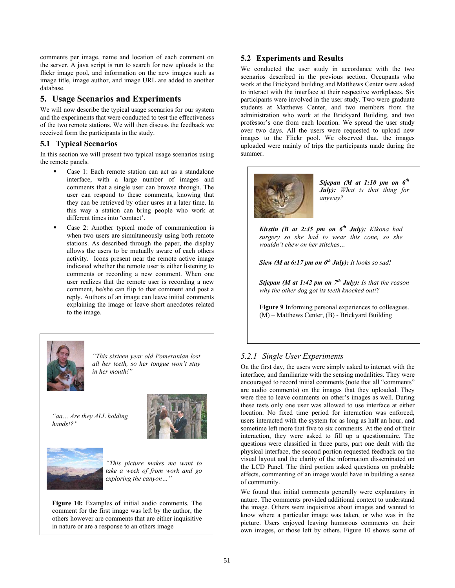comments per image, name and location of each comment on the server. A java script is run to search for new uploads to the flickr image pool, and information on the new images such as image title, image author, and image URL are added to another database.

## **5. Usage Scenarios and Experiments**

We will now describe the typical usage scenarios for our system and the experiments that were conducted to test the effectiveness of the two remote stations. We will then discuss the feedback we received form the participants in the study.

## **5.1 Typical Scenarios**

In this section we will present two typical usage scenarios using the remote panels.

- Case 1: Each remote station can act as a standalone interface, with a large number of images and comments that a single user can browse through. The user can respond to these comments, knowing that they can be retrieved by other usres at a later time. In this way a station can bring people who work at different times into 'contact'.
- Case 2: Another typical mode of communication is when two users are simultaneously using both remote stations. As described through the paper, the display allows the users to be mutually aware of each others activity. Icons present near the remote active image indicated whether the remote user is either listening to comments or recording a new comment. When one user realizes that the remote user is recording a new comment, he/she can flip to that comment and post a reply. Authors of an image can leave initial comments explaining the image or leave short anecdotes related to the image.



*"This sixteen year old Pomeranian lost all her teeth, so her tongue won't stay in her mouth!"* 

*"aa… Are they ALL holding hands!?"*





*"This picture makes me want to take a week of from work and go exploring the canyon…"* 

**Figure 10:** Examples of initial audio comments. The comment for the first image was left by the author, the others however are comments that are either inquisitive in nature or are a response to an others image

## **5.2 Experiments and Results**

We conducted the user study in accordance with the two scenarios described in the previous section. Occupants who work at the Brickyard building and Matthews Center were asked to interact with the interface at their respective workplaces. Six participants were involved in the user study. Two were graduate students at Matthews Center, and two members from the administration who work at the Brickyard Building, and two professor's one from each location. We spread the user study over two days. All the users were requested to upload new images to the Flickr pool. We observed that, the images uploaded were mainly of trips the participants made during the summer.



*Stjepan (M at 1:10 pm on 6th July): What is that thing for anyway?* 

*Kirstin (B at 2:45 pm on 6th July): Kikona had surgery so she had to wear this cone, so she wouldn't chew on her stitches…* 

*Siew (M at 6:17 pm on 6th July): It looks so sad!* 

**Stjepan (M at 1:42 pm on**  $7<sup>th</sup>$  **July):** *Is that the reason why the other dog got its teeth knocked out!?* 

**Figure 9** Informing personal experiences to colleagues. (M) – Matthews Center, (B) - Brickyard Building

# *5.2.1 Single User Experiments*

On the first day, the users were simply asked to interact with the interface, and familiarize with the sensing modalities. They were encouraged to record initial comments (note that all "comments" are audio comments) on the images that they uploaded. They were free to leave comments on other's images as well. During these tests only one user was allowed to use interface at either location. No fixed time period for interaction was enforced, users interacted with the system for as long as half an hour, and sometime left more that five to six comments. At the end of their interaction, they were asked to fill up a questionnaire. The questions were classified in three parts, part one dealt with the physical interface, the second portion requested feedback on the visual layout and the clarity of the information disseminated on the LCD Panel. The third portion asked questions on probable effects, commenting of an image would have in building a sense of community.

We found that initial comments generally were explanatory in nature. The comments provided additional context to understand the image. Others were inquisitive about images and wanted to know where a particular image was taken, or who was in the picture. Users enjoyed leaving humorous comments on their own images, or those left by others. Figure 10 shows some of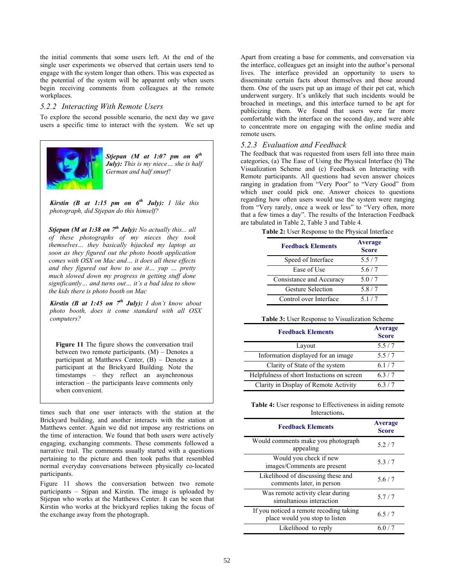the initial comments that some users left. At the end of the single user experiments we observed that certain users tend to engage with the system longer than others. This was expected as the potential of the system will be apparent only when users begin receiving comments from colleagues at the remote workplaces.

#### *5.2.2 Interacting With Remote Users*

To explore the second possible scenario, the next day we gave users a specific time to interact with the system. We set up



*Stjepan (M at 1:07 pm on 6th July): This is my niece… she is half German and half smurf!*

*Kirstin (B at 1:15 pm on 6th July): I like this photograph, did Stjepan do this himself?* 

*Stjepan (M at 1:38 on 7th July): No actually this... all of these photographs of my nieces they took themselves… they basically hijacked my laptop as soon as they figured out the photo booth application comes with OSX on Mac and… it does all these effects and they figured out how to use it… yup … pretty much slowed down my progress in getting stuff done significantly… and turns out… it's a bad idea to show the kids there is photo booth on Mac* 

*Kirstin (B at 1:45 on*  $7^{th}$  *July): I don't know about photo booth, does it come standard with all OSX computers?* 

**Figure 11** The figure shows the conversation trail between two remote participants. (M) – Denotes a participant at Matthews Center, (B) – Denotes a participant at the Brickyard Building*.* Note the timestamps – they reflect an asynchronous interaction – the participants leave comments only when convenient.

times such that one user interacts with the station at the Brickyard building, and another interacts with the station at Matthews center. Again we did not impose any restrictions on the time of interaction. We found that both users were actively engaging, exchanging comments. These comments followed a narrative trail. The comments usually started with a questions pertaining to the picture and then took paths that resembled normal everyday conversations between physically co-located participants.

Figure 11 shows the conversation between two remote participants – Stjpan and Kirstin. The image is uploaded by Stjepan who works at the Matthews Center. It can be seen that Kirstin who works at the brickyard replies taking the focus of the exchange away from the photograph.

Apart from creating a base for comments, and conversation via the interface, colleagues get an insight into the author's personal lives. The interface provided an opportunity to users to disseminate certain facts about themselves and those around them. One of the users put up an image of their pet cat, which underwent surgery. It's unlikely that such incidents would be broached in meetings, and this interface turned to be apt for publicizing them. We found that users were far more comfortable with the interface on the second day, and were able to concentrate more on engaging with the online media and remote users.

#### *5.2.3 Evaluation and Feedback*

The feedback that was requested from users fell into three main categories, (a) The Ease of Using the Physical Interface (b) The Visualization Scheme and (c) Feedback on Interacting with Remote participants. All questions had seven answer choices ranging in gradation from "Very Poor" to "Very Good" from which user could pick one. Answer choices to questions regarding how often users would use the system were ranging from "Very rarely, once a week or less" to "Very often, more that a few times a day". The results of the Interaction Feedback are tabulated in Table 2, Table 3 and Table 4.

**Table 2:** User Response to the Physical Interface

| <b>Feedback Elements</b> | <b>Average</b><br><b>Score</b> |
|--------------------------|--------------------------------|
| Speed of Interface       | 5.5/7                          |
| Ease of Use              | 56/7                           |
| Consistance and Accuracy | 5.0/7                          |
| <b>Gesture Selection</b> | 58/7                           |
| Control over Interface   | 51/7                           |

#### **Table 3:** User Response to Visualization Scheme

| <b>Feedback Elements</b>                   | Average<br><b>Score</b> |
|--------------------------------------------|-------------------------|
| Layout                                     | 5.5/7                   |
| Information displayed for an image.        | 5.5/7                   |
| Clarity of State of the system             | 6.1/7                   |
| Helpfulness of short Instuctions on screen | 6.3/7                   |
| Clarity in Display of Remote Activity      | 63/7                    |

**Table 4:** User response to Effectiveness in aiding remote Interactions**.** 

| <b>Feedback Elements</b>                                                  | <b>Average</b><br><b>Score</b> |
|---------------------------------------------------------------------------|--------------------------------|
| Would comments make you photograph<br>appealing                           | 5.2/7                          |
| Would you check if new<br>images/Comments are present                     | 5.3/7                          |
| Likelihood of discussing these and<br>comments later, in person           | 5.6/7                          |
| Was remote activity clear during<br>simultanious interaction              | 5.7/7                          |
| If you noticed a remote recoding taking<br>place would you stop to listen | 6.5/7                          |
| Likelihood to reply                                                       |                                |